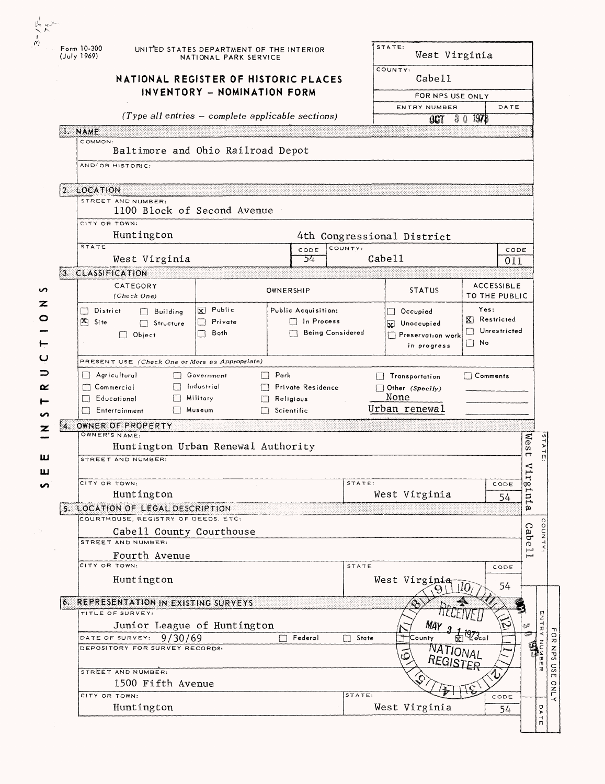| Form 10-300<br>(July 1969)             | UNITED STATES DEPARTMENT OF THE INTERIOR<br>NATIONAL PARK SERVICE<br>NATIONAL REGISTER OF HISTORIC PLACES<br>INVENTORY - NOMINATION FORM |                                                     |                                                              | STATE:<br>West Virginia<br>COUNTY.<br>Cabe11 |                                                      |                                                   |             |                                               |
|----------------------------------------|------------------------------------------------------------------------------------------------------------------------------------------|-----------------------------------------------------|--------------------------------------------------------------|----------------------------------------------|------------------------------------------------------|---------------------------------------------------|-------------|-----------------------------------------------|
|                                        |                                                                                                                                          |                                                     |                                                              |                                              |                                                      |                                                   |             |                                               |
|                                        |                                                                                                                                          |                                                     |                                                              | FOR NPS USE ONLY                             |                                                      |                                                   |             |                                               |
|                                        |                                                                                                                                          | $(Type all entries - complete applicable sections)$ |                                                              |                                              | ENTRY NUMBER                                         |                                                   | DATE        |                                               |
| 1. NAME                                |                                                                                                                                          |                                                     |                                                              |                                              | 007                                                  | 1978<br>30                                        |             |                                               |
| COMMON:                                |                                                                                                                                          | Baltimore and Ohio Railroad Depot                   |                                                              |                                              |                                                      |                                                   |             |                                               |
| AND/OR HISTORIC:                       |                                                                                                                                          |                                                     |                                                              |                                              |                                                      |                                                   |             |                                               |
|                                        |                                                                                                                                          |                                                     |                                                              |                                              |                                                      |                                                   |             |                                               |
| 2. LOCATION                            |                                                                                                                                          |                                                     |                                                              |                                              |                                                      |                                                   |             |                                               |
|                                        | STREET AND NUMBER:                                                                                                                       | 1100 Block of Second Avenue                         |                                                              |                                              |                                                      |                                                   |             |                                               |
| CITY OR TOWN:                          |                                                                                                                                          |                                                     |                                                              |                                              |                                                      |                                                   |             |                                               |
|                                        | Huntington                                                                                                                               |                                                     |                                                              |                                              | 4th Congressional District                           |                                                   |             |                                               |
| <b>STATE</b>                           | West Virginia                                                                                                                            |                                                     | CODE<br>54                                                   | COUNTY:<br>Cabel1                            |                                                      |                                                   | CODE<br>011 |                                               |
| 3. CLASSIFICATION                      |                                                                                                                                          |                                                     |                                                              |                                              |                                                      |                                                   |             |                                               |
|                                        | CATEGORY<br>(Check One)                                                                                                                  |                                                     | OWNERSHIP                                                    |                                              | <b>STATUS</b>                                        | <b>ACCESSIBLE</b><br>TO THE PUBLIC                |             |                                               |
| District<br>H<br>PΣ)<br>Site           | $\Box$ Building<br>Structure<br>$\Box$<br>$\Box$ Object                                                                                  | X Public<br>Private<br>Both<br>П                    | Public Acquisition:<br>$\Box$ In Process<br>Being Considered |                                              | $\Box$ Occupied<br>W Unoccupied<br>Preservation work | Yes:<br>X Restricted<br>Unrestricted<br>$\Box$ No |             |                                               |
|                                        | PRESENT USE (Check One or More as Appropriate)                                                                                           |                                                     |                                                              |                                              | in progress                                          |                                                   |             |                                               |
| Agricultural<br>$\left  \quad \right $ |                                                                                                                                          | Government                                          | Park                                                         |                                              | Transportation                                       | $\top$ Comments                                   |             |                                               |
| Commercial                             |                                                                                                                                          | Industrial                                          | Private Residence                                            |                                              | Other (Specity)                                      |                                                   |             |                                               |
| Educational                            | Entertainment                                                                                                                            | Military<br>Museum                                  | Religious<br>Scientific                                      |                                              | None<br>Urban renewal                                |                                                   |             |                                               |
| 4.<br>OWNER'S NAME:                    | OWNER OF PROPERTY                                                                                                                        |                                                     |                                                              |                                              |                                                      |                                                   |             |                                               |
|                                        |                                                                                                                                          | Huntington Urban Renewal Authority                  |                                                              |                                              |                                                      |                                                   |             | Wes<br>$\blacktriangleright$                  |
|                                        | STREET AND NUMBER:                                                                                                                       |                                                     |                                                              |                                              |                                                      |                                                   |             | г                                             |
| CITY OR TOWN:                          |                                                                                                                                          |                                                     |                                                              | STATE:                                       |                                                      |                                                   | CODE        | $\sum_{i=1}^{n}$<br>Η                         |
|                                        | Huntington                                                                                                                               |                                                     |                                                              |                                              | West Virginia                                        |                                                   | 54          | inig.                                         |
|                                        | 5. LOCATION OF LEGAL DESCRIPTION                                                                                                         |                                                     |                                                              |                                              |                                                      |                                                   |             | ø                                             |
|                                        | COURTHOUSE, REGISTRY OF DEEDS, ETC:                                                                                                      |                                                     |                                                              |                                              |                                                      |                                                   |             | ∩                                             |
|                                        | Cabell County Courthouse<br>STREET AND NUMBER:                                                                                           |                                                     |                                                              |                                              |                                                      |                                                   |             | Cab<br>o<br>DO<br>ወ                           |
|                                        | Fourth Avenue                                                                                                                            |                                                     |                                                              |                                              |                                                      |                                                   |             | $\overline{\Gamma}$                           |
| CITY OR TOWN:                          |                                                                                                                                          |                                                     |                                                              | STATE                                        |                                                      |                                                   | CODE        |                                               |
|                                        |                                                                                                                                          |                                                     |                                                              |                                              | West Virginia                                        |                                                   | 54          |                                               |
|                                        | Huntington                                                                                                                               |                                                     |                                                              |                                              |                                                      | 110,                                              |             |                                               |
|                                        | 6. REPRESENTATION IN EXISTING SURVEYS                                                                                                    |                                                     |                                                              |                                              |                                                      |                                                   |             |                                               |
|                                        | TITLE OF SURVEY:                                                                                                                         |                                                     |                                                              |                                              |                                                      |                                                   |             |                                               |
|                                        |                                                                                                                                          | Junior League of Huntington                         | П                                                            |                                              | МАү                                                  |                                                   |             | ري                                            |
| DATE OF SURVEY:                        | 9/30/69<br>DEPOSITORY FOR SURVEY RECORDS:                                                                                                |                                                     | Federal                                                      | $\Box$ State                                 | County                                               | $\frac{1}{2}$                                     |             | ផ្អ                                           |
|                                        | STREET AND NUMBER:                                                                                                                       |                                                     |                                                              |                                              | <b>NATIONAL</b><br>REGISTER                          |                                                   |             |                                               |
|                                        | 1500 Fifth Avenue                                                                                                                        |                                                     |                                                              |                                              |                                                      |                                                   |             |                                               |
| CITY OR TOWN:                          | Huntington                                                                                                                               |                                                     |                                                              | STATE:                                       | West Virginia                                        |                                                   | CODE<br>54  | ENTRY<br>NUMBER<br>ō<br>$\blacktriangleright$ |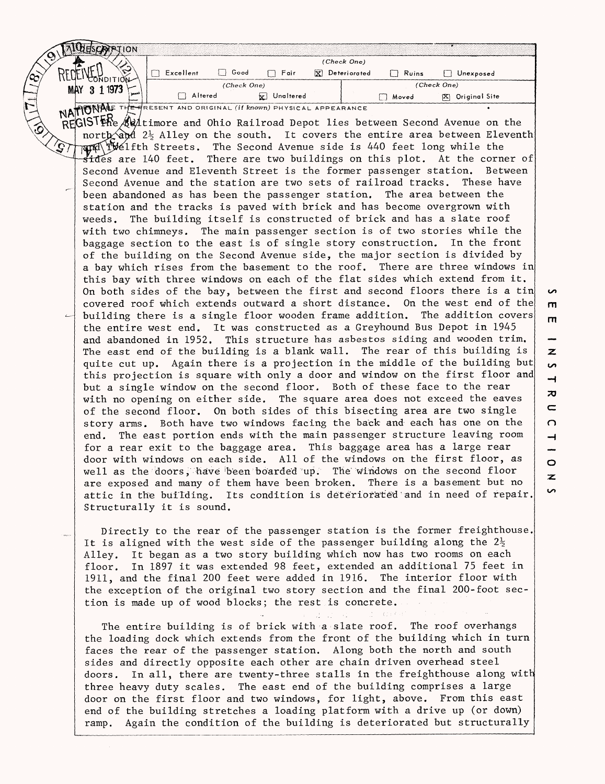| ALLESCRIPTION                                                                                                                                                                                                                       |                                                          |
|-------------------------------------------------------------------------------------------------------------------------------------------------------------------------------------------------------------------------------------|----------------------------------------------------------|
|                                                                                                                                                                                                                                     | (Check One)                                              |
| RECE<br>$\Box$ Good<br>$\Box$ Excellent<br>$\Box$ Fair<br><b>WONDITION</b>                                                                                                                                                          | $\overline{X}$ Deteriorated<br>$\Box$ Ruins<br>Unexposed |
| (Check One)<br>MAY 3 1 1973                                                                                                                                                                                                         | (Check One)                                              |
| Altered<br><b>E</b> Unaltered                                                                                                                                                                                                       | <b>Noved</b><br>[X] Original Site                        |
| NATIONALE THE HRESENT AND ORIGINAL (If Known) PHYSICAL APPEARANCE                                                                                                                                                                   |                                                          |
| REGISTINe Autimore and Ohio Railroad Depot lies between Second Avenue on the                                                                                                                                                        |                                                          |
| north and 2} Alley on the south. It covers the entire area between Eleventh                                                                                                                                                         |                                                          |
| $\widehat{S}$ )<br>FING IVElfth Streets. The Second Avenue side is 440 feet long while the                                                                                                                                          |                                                          |
| sides are 140 feet. There are two buildings on this plot. At the corner of                                                                                                                                                          |                                                          |
| Second Avenue and Eleventh Street is the former passenger station. Between                                                                                                                                                          |                                                          |
| Second Avenue and the station are two sets of railroad tracks.                                                                                                                                                                      | These have                                               |
| been abandoned as has been the passenger station. The area between the                                                                                                                                                              |                                                          |
| station and the tracks is paved with brick and has become overgrown with                                                                                                                                                            |                                                          |
| weeds. The building itself is constructed of brick and has a slate roof                                                                                                                                                             |                                                          |
| with two chimneys. The main passenger section is of two stories while the                                                                                                                                                           |                                                          |
| baggage section to the east is of single story construction. In the front                                                                                                                                                           |                                                          |
| of the building on the Second Avenue side, the major section is divided by                                                                                                                                                          |                                                          |
| a bay which rises from the basement to the roof. There are three windows in                                                                                                                                                         |                                                          |
| this bay with three windows on each of the flat sides which extend from it.                                                                                                                                                         |                                                          |
| On both sides of the bay, between the first and second floors there is a tin                                                                                                                                                        |                                                          |
| covered roof which extends outward a short distance. On the west end of the                                                                                                                                                         |                                                          |
| building there is a single floor wooden frame addition.<br>است                                                                                                                                                                      | The addition covers                                      |
| the entire west end. It was constructed as a Greyhound Bus Depot in 1945                                                                                                                                                            |                                                          |
| and abandoned in 1952. This structure has asbestos siding and wooden trim.<br>The east end of the building is a blank wall. The rear of this building is                                                                            |                                                          |
| quite cut up. Again there is a projection in the middle of the building but                                                                                                                                                         |                                                          |
| this projection is square with only a door and window on the first floor and                                                                                                                                                        |                                                          |
| but a single window on the second floor. Both of these face to the rear                                                                                                                                                             |                                                          |
| with no opening on either side. The square area does not exceed the eaves                                                                                                                                                           |                                                          |
| of the second floor. On both sides of this bisecting area are two single                                                                                                                                                            |                                                          |
| story arms. Both have two windows facing the back and each has one on the                                                                                                                                                           |                                                          |
| The east portion ends with the main passenger structure leaving room<br>end.                                                                                                                                                        |                                                          |
| for a rear exit to the baggage area. This baggage area has a large rear                                                                                                                                                             |                                                          |
| door with windows on each side. All of the windows on the first floor, as                                                                                                                                                           |                                                          |
| well as the doors, have been boarded up. The windows on the second floor                                                                                                                                                            |                                                          |
| are exposed and many of them have been broken. There is a basement but no                                                                                                                                                           |                                                          |
| attic in the building. Its condition is deteriorated and in need of repair.                                                                                                                                                         |                                                          |
| Structurally it is sound.                                                                                                                                                                                                           |                                                          |
|                                                                                                                                                                                                                                     |                                                          |
| Directly to the rear of the passenger station is the former freighthouse.                                                                                                                                                           |                                                          |
| It is aligned with the west side of the passenger building along the $2\frac{1}{2}$                                                                                                                                                 |                                                          |
| $\tau_{\rm eff}$ (Fig. ). The contract of the state of the state of the state of the state of the state of the state of the state of the state of the state of the state of the state of the state of the state of the state of the |                                                          |

Alley. It began as a two story building which now has two rooms on each floor. In 1897 it was extended 98 feet, extended an additional 75 feet in 1911, and the final 200 feet were added in 1916. The interior floor with the exception of the original two story section and the final 200-foot section is made up of wood blocks; the rest is concrete.

 $2 - 0.0001$ 

 $\frac{1}{2}$   $\frac{1}{2}$ The entire building is of brick with a slate roof. The roof overhangs the loading dock which extends from the front of the building which in turn faces the rear of the passenger station. Along both the north and south sides and directly opposite each other are chain driven overhead steel doors. In all, there are twenty-three stalls in the freighthouse along with three heavy duty scales. The east end of the building comprises a large door on the first floor and two windows, for light, above. From this east end of the building stretches a loading platform with a drive up (or down) ramp. Again the condition of the building is deteriorated but structurally

**rn**  $\overline{z}$ **S** ᅴ  $\overline{\mathbf{z}}$  $\subset$  $\Omega$  $\rightarrow$  $\circ$ z

 $\sim$ 

**m** 

S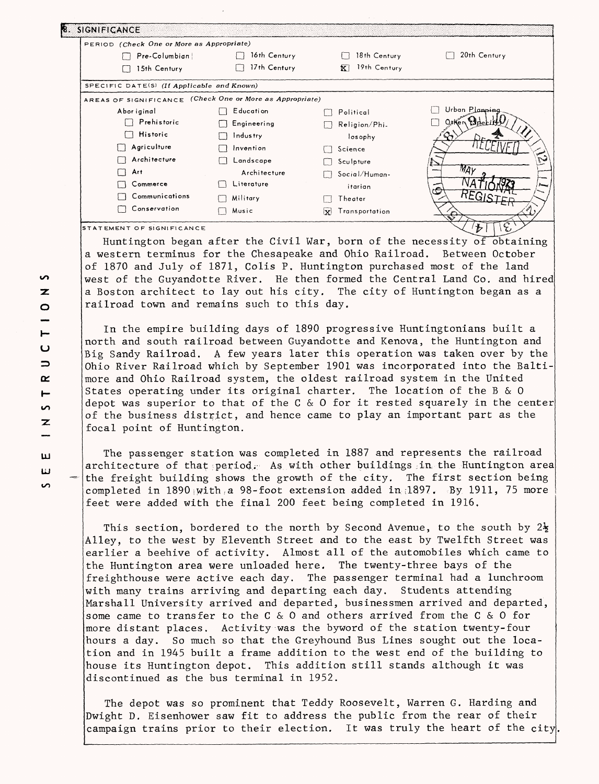| PERIOD (Check One or More as Appropriate)                |              |                       |                |
|----------------------------------------------------------|--------------|-----------------------|----------------|
| Pre-Columbian                                            | 16th Century | 18th Century          | 20th Century   |
| 15th Century                                             | 17th Century | 19th Century<br>īΣĪ   |                |
| SPECIFIC DATE(S) (If Applicable and Known)               |              |                       |                |
| AREAS OF SIGNIFICANCE (Check One or More as Appropriate) |              |                       |                |
| Abor iginal                                              | E ducati on  | Political             | Urban Planning |
| $\Box$ Prehistoric                                       | Engineering  | Religion/Phi-         | Othen Espel    |
| Historic<br>$\Box$                                       | Industry     | losophy               |                |
| Agriculture                                              | Invention    | Science               |                |
| Architecture                                             | Landscape    | Sculpture             |                |
| Art                                                      | Architecture | Social/Human-         |                |
| Commerce                                                 | Literature   | itarian               |                |
| Communications                                           | Military     | Theater               |                |
| Conservation                                             | Music        | Transportation<br>lxl |                |

Huntington began after the Civil War, born of the necessity of obtaining a western terminus for the Chesapeake and Ohio Railroad. Between October of 1870 and July of 1871, Colis P. Huntington purchased most of the land west of the Guyandotte River. He then formed the Central Land Co. and hired a Boston architect to lay out his city. The city of Huntington began as a railroad town and remains such to this day.

In the empire building days of 1890 progressive Huntingtonians built a north and south railroad between Guyandotte and Kenova, the Huntington and Big Sandy Railroad. A few years later this operation was taken over by the Ohio River Railroad which by September 1901 was incorporated into the Baltimore and Ohio Railroad system, the oldest railroad system in the United States operating under its original charter. The location of the B & 0 depot was superior to that of the C & O for it rested squarely in the center of the business district, and hence came to play an important part as the focal point of Huntington.

The passenger station was completed in 1887 and represents the railroad architecture of that period. As with other buildings in the Huntington area the freight building shows the growth of the city. The first section being completed in  $1890$  with a 98-foot extension added in  $1897$ . By 1911, 75 more feet were added with the final 200 feet being completed in 1916.

This section, bordered to the north by Second Avenue, to the south by  $2\frac{1}{2}$ Alley, to the west by Eleventh Street and to the east by Twelfth Street was earlier a beehive of activity. Almost all of the automobiles which came to the Huntington area were unloaded here. The twenty-three bays of the freighthouse were active each day. The passenger terminal had a lunchroom with many trains arriving and departing each day. Students attending Marshall University arrived and departed, businessmen arrived and departed, some came to transfer to the C & 0 and others arrived from the C & 0 for more distant places. Activity was the byword of the station twenty-four hours a day. So much so that the Greyhound Bus Lines sought out the location and in 1945 built a frame addition to the west end of the building to house its Huntington depot. This addition still stands although it was discontinued as the bus terminal in 1952.

The depot was so prominent that Teddy Roosevelt, Warren G. Harding and Dwight D. Eisenhower saw fit to address the public from the rear of their campaign trains prior to their election. It was truly the heart of the city.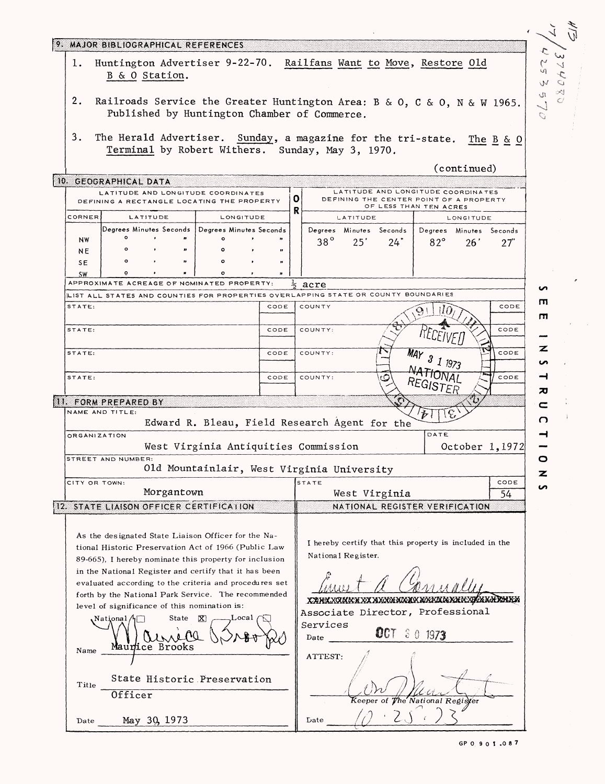| 9. MAJOR BIBLIOGRAPHICAL REFERENCES                                                                                                                                                                                                                                                                                                                                                                                                    |                                                                                                                                           |                                                                |
|----------------------------------------------------------------------------------------------------------------------------------------------------------------------------------------------------------------------------------------------------------------------------------------------------------------------------------------------------------------------------------------------------------------------------------------|-------------------------------------------------------------------------------------------------------------------------------------------|----------------------------------------------------------------|
| 1.<br>B & O Station.                                                                                                                                                                                                                                                                                                                                                                                                                   | Huntington Advertiser 9-22-70. Railfans Want to Move, Restore Old                                                                         | $\widetilde{\mathcal{C}}$<br>$C_{\uparrow}\uparrow\angle$<br>W |
| 2.<br>Published by Huntington Chamber of Commerce.                                                                                                                                                                                                                                                                                                                                                                                     | Railroads Service the Greater Huntington Area: B & O, C & O, N & W 1965.                                                                  | ୍ୟ<br>$\Omega$ .<br>$\mathbb C$<br>Q                           |
| 3.<br>Terminal by Robert Withers. Sunday, May 3, 1970.                                                                                                                                                                                                                                                                                                                                                                                 | The Herald Advertiser. Sunday, a magazine for the tri-state. The B & O<br>(continued)                                                     |                                                                |
| 10. GEOGRAPHICAL DATA                                                                                                                                                                                                                                                                                                                                                                                                                  |                                                                                                                                           |                                                                |
| LATITUDE AND LONGITUDE COORDINATES<br>DEFINING A RECTANGLE LOCATING THE PROPERTY                                                                                                                                                                                                                                                                                                                                                       | LATITUDE AND LONGITUDE COORDINATES<br> 0 <br>DEFINING THE CENTER POINT OF A PROPERTY<br>OF LESS THAN TEN ACRES                            |                                                                |
| CORNER<br><b>LATITUDE</b><br>LONGITUDE                                                                                                                                                                                                                                                                                                                                                                                                 | R<br>LATITUDE<br>LONGITUDE                                                                                                                |                                                                |
| Degrees Minutes Seconds   Degrees Minutes Seconds                                                                                                                                                                                                                                                                                                                                                                                      | Degrees Minutes Seconds<br>Degrees Minutes Seconds                                                                                        |                                                                |
| $\circ$<br>$\cdot$<br>۰<br>NW<br>$\circ$                                                                                                                                                                                                                                                                                                                                                                                               | $38^\circ$<br>25'<br>$82^\circ$<br>24"<br>26'<br>27"                                                                                      |                                                                |
| NE<br>$\circ$<br>$\circ$<br>SE                                                                                                                                                                                                                                                                                                                                                                                                         |                                                                                                                                           |                                                                |
| ō<br>$\circ$<br><b>SW</b>                                                                                                                                                                                                                                                                                                                                                                                                              |                                                                                                                                           |                                                                |
| APPROXIMATE ACREAGE OF NOMINATED PROPERTY:                                                                                                                                                                                                                                                                                                                                                                                             | ∗<br>acre                                                                                                                                 | ທ                                                              |
| LIST ALL STATES AND COUNTIES FOR PROPERTIES OVERLAPPING STATE OR COUNTY BOUNDARIES                                                                                                                                                                                                                                                                                                                                                     |                                                                                                                                           | m.                                                             |
| STATE:<br>CODE                                                                                                                                                                                                                                                                                                                                                                                                                         | COUNTY<br>CODE<br>$\mathfrak{D}$ (                                                                                                        | ш                                                              |
| STATE:<br>CODE                                                                                                                                                                                                                                                                                                                                                                                                                         | COUNTY:<br>CODE                                                                                                                           | z                                                              |
| STATE:<br>CODE                                                                                                                                                                                                                                                                                                                                                                                                                         | CODE<br>COUNTY:<br>$3$ 1 1973                                                                                                             | ഗ                                                              |
| STATE:<br>CODE                                                                                                                                                                                                                                                                                                                                                                                                                         | COUNTY:<br>೨<br>CODE<br>$^{REGIST}$ ER                                                                                                    | ⊣<br>ᅍ                                                         |
| 11. FORM PREPARED BY                                                                                                                                                                                                                                                                                                                                                                                                                   |                                                                                                                                           | c                                                              |
| NAME AND TITLE:<br>Edward R. Bleau, Field Research Agent for the                                                                                                                                                                                                                                                                                                                                                                       |                                                                                                                                           | O                                                              |
| <b>ORGANIZATION</b><br>West Virginia Antiquities Commission                                                                                                                                                                                                                                                                                                                                                                            | DATE<br>October 1, 1972                                                                                                                   | ⊣                                                              |
| STREET AND NUMBER:<br>Old Mountainlair, West Virginia University                                                                                                                                                                                                                                                                                                                                                                       |                                                                                                                                           | o<br>z                                                         |
| CITY OR TOWN:<br>Morgantown                                                                                                                                                                                                                                                                                                                                                                                                            | CODE<br><b>STATE</b>                                                                                                                      | <b>S</b>                                                       |
| 12. STATE LIAISON OFFICER CERTIFICATION                                                                                                                                                                                                                                                                                                                                                                                                | West Virginia<br>54<br>NATIONAL REGISTER VERIFICATION                                                                                     |                                                                |
|                                                                                                                                                                                                                                                                                                                                                                                                                                        |                                                                                                                                           |                                                                |
| As the designated State Liaison Officer for the Na-<br>tional Historic Preservation Act of 1966 (Public Law<br>89-665), I hereby nominate this property for inclusion<br>in the National Register and certify that it has been<br>evaluated according to the criteria and procedures set<br>forth by the National Park Service. The recommended<br>level of significance of this nomination is:<br>State<br>X)<br>National/h⊡<br>Local | I hereby certify that this property is included in the<br>National Register.<br>Associate Director, Professional<br>Services<br>007<br>30 |                                                                |
| Maurice Brooks<br>Name<br>State Historic Preservation<br>Title<br>Officer                                                                                                                                                                                                                                                                                                                                                              | 1973<br>Date<br>ATTEST:<br>The National Register<br>Keeper of                                                                             |                                                                |
| May 30, 1973<br>Date                                                                                                                                                                                                                                                                                                                                                                                                                   | Date                                                                                                                                      |                                                                |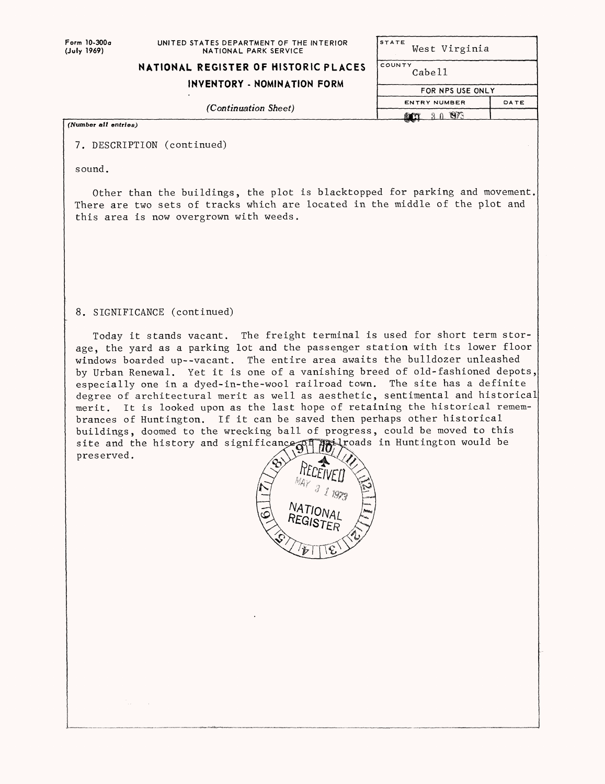**Form 10-300a (July 1969)**

## **NATIONAL REGISTER OF HISTORIC PLACES**

**INVENTORY - NOMINATION FORM**

|        | West Virginia |  |
|--------|---------------|--|
| COUNTY |               |  |

**FOR NPS USE ONLY**

DATE

Cabell

**STATE** 

**ENTRY NUMBER port** 30 1973

*(Continuation Sheet)*

## (Number all entries)

7. DESCRIPTION (continued)

sound.

Other than the buildings, the plot is blacktopped for parking and movement, There are two sets of tracks which are located in the middle of the plot and this area is now overgrown with weeds.

## 8. SIGNIFICANCE (continued)

Today it stands vacant. The freight terminal is used for short term storage, the yard as a parking lot and the passenger station with its lower floor windows boarded up--vacant. The entire area awaits the bulldozer unleashed by Urban Renewal. Yet it is one of a vanishing breed of old-fashioned depots, especially one in a dyed-in-the-wool railroad town. The site has a definite degree of architectural merit as well as aesthetic, sentimental and historical merit. It is looked upon as the last hope of retaining the historical remembrances of Huntington. If it can be saved then perhaps other historical buildings, doomed to the wrecking ball of progress, could be moved to this site and the history and significance  $\mathbb{C}$   $\mathbb{R}$   $\mathbb{R}$  roads in Huntington would be site and the history and significance  $\mathbb{S}^{\mathbb{F}}$ preserved.